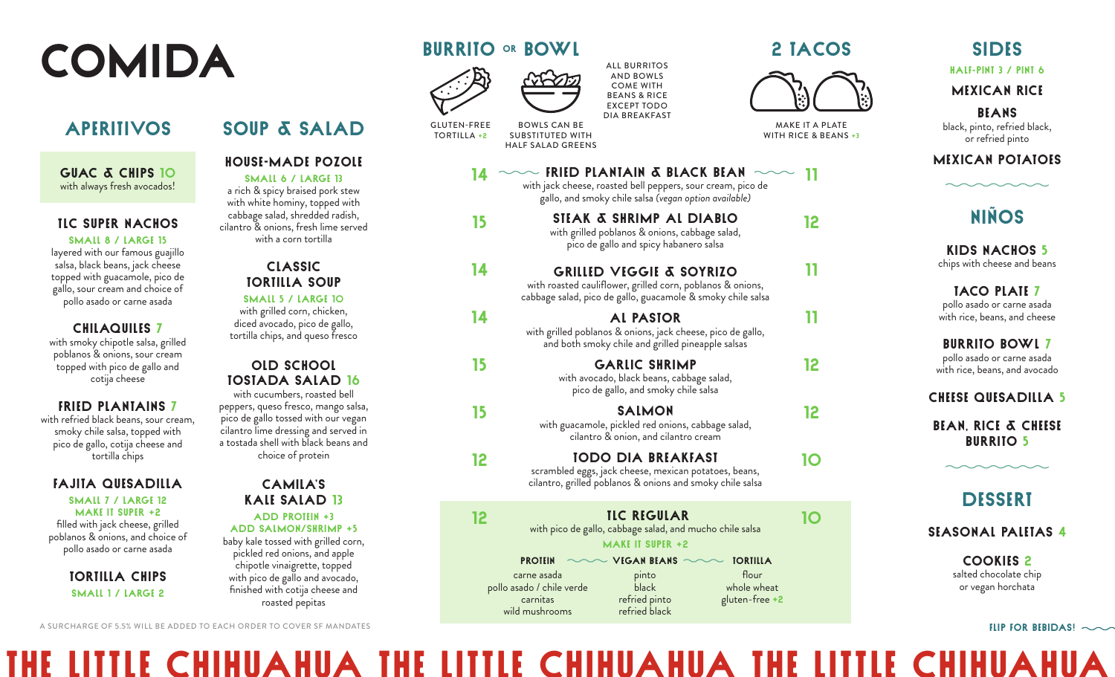# COMIDA

SOUP & SALAD

HOUSE-MADE POZOLE Small 6 / Large 13 a rich & spicy braised pork stew with white hominy, topped with cabbage salad, shredded radish, cilantro & onions, fresh lime served with a corn tortilla

CLASSIC TORTILLA SOUP Small 5 / Large 10 with grilled corn, chicken, diced avocado, pico de gallo, tortilla chips, and queso fresco

OLD SCHOOL TOSTADA SALAD 16 with cucumbers, roasted bell peppers, queso fresco, mango salsa, pico de gallo tossed with our vegan cilantro lime dressing and served in a tostada shell with black beans and choice of protein

CAMILA'S KALE SALAD 13 Add protein +3 add salmon/shrimp +5 baby kale tossed with grilled corn, pickled red onions, and apple chipotle vinaigrette, topped with pico de gallo and avocado, finished with cotija cheese and roasted pepitas

### **APERITIVOS**

GUAC & CHIPS 10 with always fresh avocados!

#### TLC SUPER NACHOS

Small 8 / Large 15

layered with our famous guajillo salsa, black beans, jack cheese topped with guacamole, pico de gallo, sour cream and choice of pollo asado or carne asada

#### CHILAQUILES 7

with smoky chipotle salsa, grilled poblanos & onions, sour cream topped with pico de gallo and cotija cheese

#### FRIED PLANTAINS 7

with refried black beans, sour cream, smoky chile salsa, topped with pico de gallo, cotija cheese and tortilla chips

#### FAJITA QUESADILLA

Small 7 / Large 12 Make it super +2 filled with jack cheese, grilled poblanos & onions, and choice of pollo asado or carne asada

> TORTILLA CHIPS Small 1 / Large 2

#### A SURCHARGE OF 5.5% WILL BE ADDED TO EACH ORDER TO COVER SF MANDATES

# BURRITO OR BOWL





14

15

14

14

15

15

12

GLUTEN-FREE

BOWLS CAN BE SUBSTITUTED WITH

- 
- HALF SALAD GREENS
	- $\sim$  FRIED PLANTAIN & BLACK BEAN  $\sim$ with jack cheese, roasted bell peppers, sour cream, pico de gallo, and smoky chile salsa *(vegan option available)*

ALL BURRITOS AND BOWLS COME WITH BEANS & RICE EXCEPT TODO DIA BREAKFAST

- STEAK & SHRIMP AL DIABLO with grilled poblanos & onions, cabbage salad, pico de gallo and spicy habanero salsa
- GRILLED VEGGIE & SOYRIZO with roasted cauliflower, grilled corn, poblanos & onions, cabbage salad, pico de gallo, guacamole & smoky chile salsa
- AL PASTOR with grilled poblanos & onions, jack cheese, pico de gallo, and both smoky chile and grilled pineapple salsas
	- GARLIC SHRIMP with avocado, black beans, cabbage salad, pico de gallo, and smoky chile salsa
	- with guacamole, pickled red onions, cabbage salad, cilantro & onion, and cilantro cream
	- scrambled eggs, jack cheese, mexican potatoes, beans, cilantro, grilled poblanos & onions and smoky chile salsa
- **12 TLC REGULAR 10 We add to the solution of the salad**, and mucho chile salsa **10** make it Super +2
	- carne asada pollo asado / chile verde carnitas wild mushrooms pinto **black** refried pinto refried black flour whole wheat gluten-free +2

The Little Chihuahua The Little Chihuahua The Little Chihuahua

## 2 tacos



MAKE IT A PLATE WITH RICE & BEANS +3

11

12

11

11

12

12

10

#### half-pint 3 / pint 6 MEXICAN RICE

SIDES

BEANS black, pinto, refried black, or refried pinto

### MEXICAN POTATOES

# Niños

KIDS NACHOS 5 chips with cheese and beans

TACO PLATE 7 pollo asado or carne asada with rice, beans, and cheese

BURRITO BOWL 7 pollo asado or carne asada with rice, beans, and avocado

**CHEESE QUESADILLA 5** 

BEAN, RICE & CHEESE **BURRITO 5** 

# **DESSERT**

SEASONAL PALETAS 4

COOKIES 2 salted chocolate chip or vegan horchata

#### FLIP FOR BEBIDAS!

SALMON

TODO DIA BREAKFAST

PROTEIN  $\sim$  VIGAN BEANS  $\sim$ **TORTILLA** 

TORTILLA +2